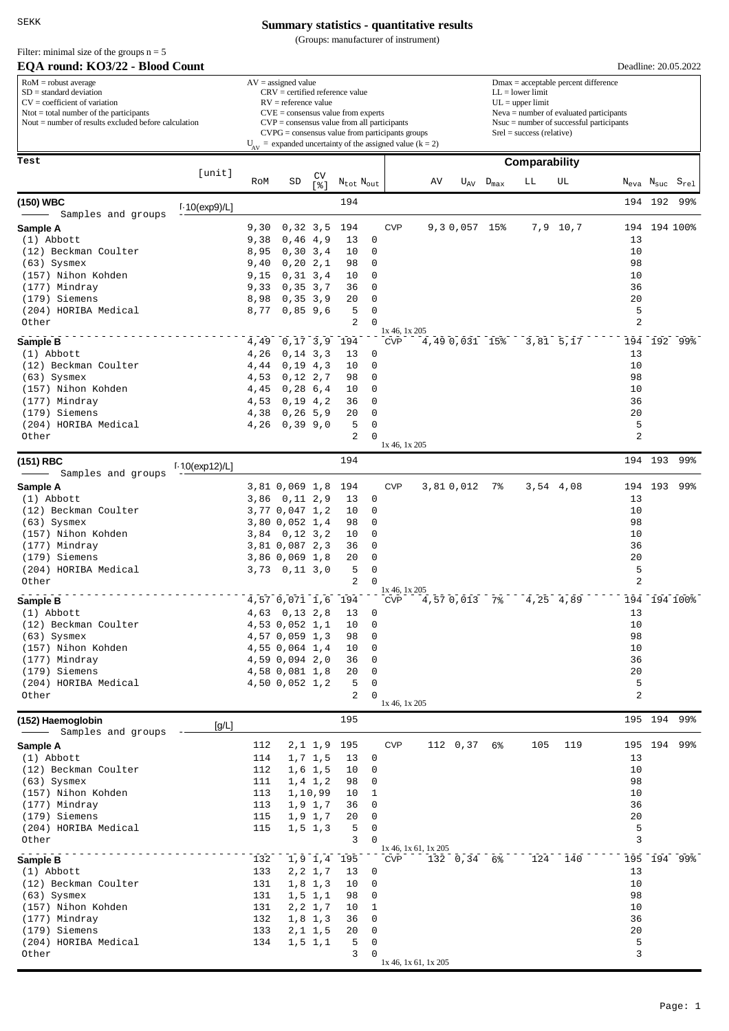SEKK

Filter: minimal size of the groups  $n = 5$ 

### **Summary statistics - quantitative results**

(Groups: manufacturer of instrument)

| EQA round: KO3/22 - Blood Count                                                                                                                                                                             |                   |              |                                                                                                                                                                                                                                                         |                          |                                   |                         |                                    |    |                                                                                                                                                                                                               |                  |               |               |               |                   | Deadline: 20.05.2022        |  |
|-------------------------------------------------------------------------------------------------------------------------------------------------------------------------------------------------------------|-------------------|--------------|---------------------------------------------------------------------------------------------------------------------------------------------------------------------------------------------------------------------------------------------------------|--------------------------|-----------------------------------|-------------------------|------------------------------------|----|---------------------------------------------------------------------------------------------------------------------------------------------------------------------------------------------------------------|------------------|---------------|---------------|---------------|-------------------|-----------------------------|--|
| $RoM =$ robust average<br>$SD = standard deviation$<br>$CV = coefficient of variation$<br>$N\text{tot} = \text{total number of the participants}$<br>Nout $=$ number of results excluded before calculation |                   |              | $AV = assigned value$<br>$CRV =$ certified reference value<br>$RV =$ reference value<br>$CVE = \text{consensus value from experts}$<br>$CVP = \text{consensus value from all participants}$<br>$CVPG = \text{consensus value from participants groups}$ |                          |                                   |                         |                                    |    | $Dmax = acceptable percent difference$<br>$LL = lower limit$<br>$UL = upper limit$<br>$Neva = number of evaluated participants$<br>$N$ suc = number of successful participants<br>$Srel = success (relative)$ |                  |               |               |               |                   |                             |  |
|                                                                                                                                                                                                             |                   |              | $U_{AV}$ = expanded uncertainty of the assigned value (k = 2)                                                                                                                                                                                           |                          |                                   |                         |                                    |    |                                                                                                                                                                                                               |                  |               |               |               |                   |                             |  |
| Test                                                                                                                                                                                                        |                   |              |                                                                                                                                                                                                                                                         |                          |                                   |                         |                                    |    |                                                                                                                                                                                                               |                  | Comparability |               |               |                   |                             |  |
|                                                                                                                                                                                                             | [unit]            | RoM          | SD                                                                                                                                                                                                                                                      | CV<br>$s$ ]              | $N_{\text{tot}}$ $N_{\text{out}}$ |                         |                                    | AV | $U_{AV}$                                                                                                                                                                                                      | $D_{\text{max}}$ | LЬ            | UL            | $\rm N_{eva}$ | $\rm N_{\rm suc}$ | $\mathtt{S}_{\mathtt{rel}}$ |  |
| (150) WBC                                                                                                                                                                                                   |                   |              |                                                                                                                                                                                                                                                         |                          | 194                               |                         |                                    |    |                                                                                                                                                                                                               |                  |               |               |               | 194 192           | 99%                         |  |
| Samples and groups                                                                                                                                                                                          | $1.10$ (exp9)/L]  |              |                                                                                                                                                                                                                                                         |                          |                                   |                         |                                    |    |                                                                                                                                                                                                               |                  |               |               |               |                   |                             |  |
| Sample A                                                                                                                                                                                                    |                   | 9,30         | 0, 32, 3, 5                                                                                                                                                                                                                                             |                          | 194                               |                         | <b>CVP</b>                         |    | 9,30,057                                                                                                                                                                                                      | 15%              | 7,9           | 10,7          | 194           |                   | 194 100%                    |  |
| $(1)$ Abbott                                                                                                                                                                                                |                   | 9,38         | 0,46                                                                                                                                                                                                                                                    | 4,9                      | 13                                | 0                       |                                    |    |                                                                                                                                                                                                               |                  |               |               | 13            |                   |                             |  |
| (12) Beckman Coulter                                                                                                                                                                                        |                   | 8,95         | 0, 30, 3, 4                                                                                                                                                                                                                                             |                          | 10                                | $\mathbf 0$             |                                    |    |                                                                                                                                                                                                               |                  |               |               | 10<br>98      |                   |                             |  |
| $(63)$ Sysmex<br>(157) Nihon Kohden                                                                                                                                                                         |                   | 9,40<br>9,15 | 0, 20, 2, 1<br>0, 31, 3, 4                                                                                                                                                                                                                              |                          | 98<br>10                          | 0<br>0                  |                                    |    |                                                                                                                                                                                                               |                  |               |               | 10            |                   |                             |  |
| (177) Mindray                                                                                                                                                                                               |                   | 9,33         | 0, 35, 3, 7                                                                                                                                                                                                                                             |                          | 36                                | $\mathbf 0$             |                                    |    |                                                                                                                                                                                                               |                  |               |               | 36            |                   |                             |  |
| (179) Siemens                                                                                                                                                                                               |                   | 8,98         | 0, 35, 3, 9                                                                                                                                                                                                                                             |                          | 20                                | 0                       |                                    |    |                                                                                                                                                                                                               |                  |               |               | 20            |                   |                             |  |
| (204) HORIBA Medical                                                                                                                                                                                        |                   | 8,77         | 0,85,9,6                                                                                                                                                                                                                                                |                          | 5                                 | $\mathbf 0$             |                                    |    |                                                                                                                                                                                                               |                  |               |               | 5             |                   |                             |  |
| Other                                                                                                                                                                                                       |                   |              |                                                                                                                                                                                                                                                         |                          | 2                                 | $\Omega$                | $1x$ 46, $1x$ 205                  |    |                                                                                                                                                                                                               |                  |               |               | 2             |                   |                             |  |
| Sample B                                                                                                                                                                                                    |                   | 4,49         | 0,17,3,9                                                                                                                                                                                                                                                |                          | 194                               |                         | <b>CVP</b>                         |    | 4,49 0,031 15%                                                                                                                                                                                                |                  |               | $3,81$ $5,17$ |               |                   | 194 192 99%                 |  |
| $(1)$ Abbott                                                                                                                                                                                                |                   | 4,26         | 0, 14, 3, 3                                                                                                                                                                                                                                             |                          | 13                                | 0                       |                                    |    |                                                                                                                                                                                                               |                  |               |               | 13            |                   |                             |  |
| (12) Beckman Coulter                                                                                                                                                                                        |                   | 4,44         | 0,19                                                                                                                                                                                                                                                    | 4,3                      | 10                                | 0<br>0                  |                                    |    |                                                                                                                                                                                                               |                  |               |               | 10<br>98      |                   |                             |  |
| $(63)$ Sysmex<br>(157) Nihon Kohden                                                                                                                                                                         |                   | 4,53<br>4,45 | 0,12,2,7<br>0,28                                                                                                                                                                                                                                        | 6,4                      | 98<br>10                          | 0                       |                                    |    |                                                                                                                                                                                                               |                  |               |               | 10            |                   |                             |  |
| (177) Mindray                                                                                                                                                                                               |                   | 4,53         | 0, 19, 4, 2                                                                                                                                                                                                                                             |                          | 36                                | 0                       |                                    |    |                                                                                                                                                                                                               |                  |               |               | 36            |                   |                             |  |
| (179) Siemens                                                                                                                                                                                               |                   | 4,38         | 0, 26, 5, 9                                                                                                                                                                                                                                             |                          | 20                                | 0                       |                                    |    |                                                                                                                                                                                                               |                  |               |               | 20            |                   |                             |  |
| (204) HORIBA Medical                                                                                                                                                                                        |                   | 4,26         | 0,39,9,0                                                                                                                                                                                                                                                |                          | 5                                 | $\mathbf 0$             |                                    |    |                                                                                                                                                                                                               |                  |               |               | 5             |                   |                             |  |
| Other                                                                                                                                                                                                       |                   |              |                                                                                                                                                                                                                                                         |                          | $\overline{2}$                    | $\Omega$                | 1x 46, 1x 205                      |    |                                                                                                                                                                                                               |                  |               |               | 2             |                   |                             |  |
| (151) RBC                                                                                                                                                                                                   | $1.10$ (exp12)/L] |              |                                                                                                                                                                                                                                                         |                          | 194                               |                         |                                    |    |                                                                                                                                                                                                               |                  |               |               |               | 194 193           | 99%                         |  |
| Samples and groups                                                                                                                                                                                          |                   |              |                                                                                                                                                                                                                                                         |                          |                                   |                         |                                    |    |                                                                                                                                                                                                               |                  |               |               |               |                   |                             |  |
| Sample A                                                                                                                                                                                                    |                   |              | 3,81 0,069 1,8                                                                                                                                                                                                                                          |                          | 194                               |                         | <b>CVP</b>                         |    | 3,810,012                                                                                                                                                                                                     | 7%               |               | $3,54$ 4,08   | 194           | 193               | 99%                         |  |
| $(1)$ Abbott<br>(12) Beckman Coulter                                                                                                                                                                        |                   |              | 3,86 0,11 2,9<br>3,77 0,047 1,2                                                                                                                                                                                                                         |                          | 13<br>10                          | 0<br>0                  |                                    |    |                                                                                                                                                                                                               |                  |               |               | 13<br>10      |                   |                             |  |
| $(63)$ Sysmex                                                                                                                                                                                               |                   |              | 3,80 0,052 1,4                                                                                                                                                                                                                                          |                          | 98                                | 0                       |                                    |    |                                                                                                                                                                                                               |                  |               |               | 98            |                   |                             |  |
| (157) Nihon Kohden                                                                                                                                                                                          |                   |              | $3,84$ 0, 12 3, 2                                                                                                                                                                                                                                       |                          | 10                                | 0                       |                                    |    |                                                                                                                                                                                                               |                  |               |               | 10            |                   |                             |  |
| (177) Mindray                                                                                                                                                                                               |                   |              | 3,81 0,087 2,3                                                                                                                                                                                                                                          |                          | 36                                | 0                       |                                    |    |                                                                                                                                                                                                               |                  |               |               | 36            |                   |                             |  |
| (179) Siemens                                                                                                                                                                                               |                   |              | 3,86 0,069 1,8                                                                                                                                                                                                                                          |                          | 20                                | $\mathbf 0$             |                                    |    |                                                                                                                                                                                                               |                  |               |               | 20            |                   |                             |  |
| (204) HORIBA Medical<br>Other                                                                                                                                                                               |                   |              | 3,73 0,11 3,0                                                                                                                                                                                                                                           |                          | 5<br>2                            | 0<br>$\Omega$           |                                    |    |                                                                                                                                                                                                               |                  |               |               | 5<br>2        |                   |                             |  |
|                                                                                                                                                                                                             |                   |              |                                                                                                                                                                                                                                                         |                          |                                   |                         | 1x 46, 1x 205                      |    |                                                                                                                                                                                                               |                  |               |               |               |                   |                             |  |
| Sample B                                                                                                                                                                                                    |                   |              | 4,57 0,071 1,6 194                                                                                                                                                                                                                                      |                          |                                   |                         | <b>CVP</b>                         |    | 4,570,013                                                                                                                                                                                                     | ີ 7%             |               | 4,25 4,89     |               |                   | 194 194 100%                |  |
| (1) Abbott<br>(12) Beckman Coulter                                                                                                                                                                          |                   |              | 4,63 0,13 2,8<br>4,53 0,052 1,1                                                                                                                                                                                                                         |                          | 13<br>10                          | 0<br>0                  |                                    |    |                                                                                                                                                                                                               |                  |               |               | 13<br>10      |                   |                             |  |
| $(63)$ Sysmex                                                                                                                                                                                               |                   |              | 4,57 0,059 1,3                                                                                                                                                                                                                                          |                          | 98                                | 0                       |                                    |    |                                                                                                                                                                                                               |                  |               |               | 98            |                   |                             |  |
| (157) Nihon Kohden                                                                                                                                                                                          |                   |              | 4,55 0,064 1,4                                                                                                                                                                                                                                          |                          | 10                                | 0                       |                                    |    |                                                                                                                                                                                                               |                  |               |               | 10            |                   |                             |  |
| (177) Mindray                                                                                                                                                                                               |                   |              | 4,59 0,094 2,0                                                                                                                                                                                                                                          |                          | 36                                | 0                       |                                    |    |                                                                                                                                                                                                               |                  |               |               | 36            |                   |                             |  |
| (179) Siemens                                                                                                                                                                                               |                   |              | 4,58 0,081 1,8                                                                                                                                                                                                                                          |                          | 20                                | $\mathbf 0$             |                                    |    |                                                                                                                                                                                                               |                  |               |               | 20            |                   |                             |  |
| (204) HORIBA Medical<br>Other                                                                                                                                                                               |                   |              | 4,50 0,052 1,2                                                                                                                                                                                                                                          |                          | 5<br>2                            | $\mathbf 0$<br>$\Omega$ |                                    |    |                                                                                                                                                                                                               |                  |               |               | 5<br>2        |                   |                             |  |
|                                                                                                                                                                                                             |                   |              |                                                                                                                                                                                                                                                         |                          |                                   |                         | 1x 46, 1x 205                      |    |                                                                                                                                                                                                               |                  |               |               |               |                   |                             |  |
| (152) Haemoglobin                                                                                                                                                                                           | [g/L]             |              |                                                                                                                                                                                                                                                         |                          | 195                               |                         |                                    |    |                                                                                                                                                                                                               |                  |               |               |               |                   | 195 194 99%                 |  |
| Samples and groups<br>Sample A                                                                                                                                                                              |                   | 112          |                                                                                                                                                                                                                                                         |                          | 2, 1 1, 9 195                     |                         | <b>CVP</b>                         |    | $112 \t 0,37 \t 6$                                                                                                                                                                                            |                  | 105           | 119           |               |                   | 195 194 99%                 |  |
| (1) Abbott                                                                                                                                                                                                  |                   | 114          |                                                                                                                                                                                                                                                         | 1, 7, 1, 5               | 13                                | 0                       |                                    |    |                                                                                                                                                                                                               |                  |               |               | 13            |                   |                             |  |
| (12) Beckman Coulter                                                                                                                                                                                        |                   | 112          |                                                                                                                                                                                                                                                         | $1,6$ 1,5                | 10                                | $\mathbf 0$             |                                    |    |                                                                                                                                                                                                               |                  |               |               | 10            |                   |                             |  |
| $(63)$ Sysmex                                                                                                                                                                                               |                   | 111          |                                                                                                                                                                                                                                                         | $1, 4$ 1, 2              | 98                                | 0                       |                                    |    |                                                                                                                                                                                                               |                  |               |               | 98            |                   |                             |  |
| (157) Nihon Kohden                                                                                                                                                                                          |                   | 113          |                                                                                                                                                                                                                                                         | 1,10,99                  | 10                                | 1                       |                                    |    |                                                                                                                                                                                                               |                  |               |               | 10            |                   |                             |  |
| (177) Mindray<br>(179) Siemens                                                                                                                                                                              |                   | 113<br>115   |                                                                                                                                                                                                                                                         | $1, 9$ 1,7<br>$1, 9$ 1,7 | 36<br>20                          | 0<br>0                  |                                    |    |                                                                                                                                                                                                               |                  |               |               | 36<br>20      |                   |                             |  |
| (204) HORIBA Medical                                                                                                                                                                                        |                   | 115          |                                                                                                                                                                                                                                                         | $1, 5$ 1, 3              | 5                                 | $\mathbf 0$             |                                    |    |                                                                                                                                                                                                               |                  |               |               | 5             |                   |                             |  |
| Other                                                                                                                                                                                                       |                   |              |                                                                                                                                                                                                                                                         |                          | 3                                 | $\Omega$                |                                    |    |                                                                                                                                                                                                               |                  |               |               | 3             |                   |                             |  |
| Sample B                                                                                                                                                                                                    |                   | 132          |                                                                                                                                                                                                                                                         |                          | 1,9 1,4 195                       |                         | 1x 46, 1x 61, 1x 205<br><b>CVP</b> |    | 132 0,34 6%                                                                                                                                                                                                   |                  |               | 124 140       |               |                   | 195 194 99%                 |  |
| $(1)$ Abbott                                                                                                                                                                                                |                   | 133          |                                                                                                                                                                                                                                                         | 2, 2, 1, 7               | 13                                | 0                       |                                    |    |                                                                                                                                                                                                               |                  |               |               | 13            |                   |                             |  |
| (12) Beckman Coulter                                                                                                                                                                                        |                   | 131          |                                                                                                                                                                                                                                                         | $1,8$ 1,3                | 10                                | 0                       |                                    |    |                                                                                                                                                                                                               |                  |               |               | 10            |                   |                             |  |
| $(63)$ Sysmex                                                                                                                                                                                               |                   | 131          |                                                                                                                                                                                                                                                         | $1, 5$ $1, 1$            | 98                                | 0                       |                                    |    |                                                                                                                                                                                                               |                  |               |               | 98            |                   |                             |  |
| (157) Nihon Kohden<br>(177) Mindray                                                                                                                                                                         |                   | 131<br>132   |                                                                                                                                                                                                                                                         | 2,2 1,7                  | 10<br>36                          | 1<br>$\mathbf 0$        |                                    |    |                                                                                                                                                                                                               |                  |               |               | 10<br>36      |                   |                             |  |
| (179) Siemens                                                                                                                                                                                               |                   | 133          |                                                                                                                                                                                                                                                         | $1,8$ 1,3<br>$2,1$ 1,5   | 20                                | 0                       |                                    |    |                                                                                                                                                                                                               |                  |               |               | 20            |                   |                             |  |
| (204) HORIBA Medical                                                                                                                                                                                        |                   | 134          |                                                                                                                                                                                                                                                         | $1, 5$ 1, 1              | 5                                 | $\mathbf 0$             |                                    |    |                                                                                                                                                                                                               |                  |               |               | 5             |                   |                             |  |
| Other                                                                                                                                                                                                       |                   |              |                                                                                                                                                                                                                                                         |                          | 3                                 | $\mathbf 0$             |                                    |    |                                                                                                                                                                                                               |                  |               |               | 3             |                   |                             |  |
|                                                                                                                                                                                                             |                   |              |                                                                                                                                                                                                                                                         |                          |                                   |                         | 1x 46, 1x 61, 1x 205               |    |                                                                                                                                                                                                               |                  |               |               |               |                   |                             |  |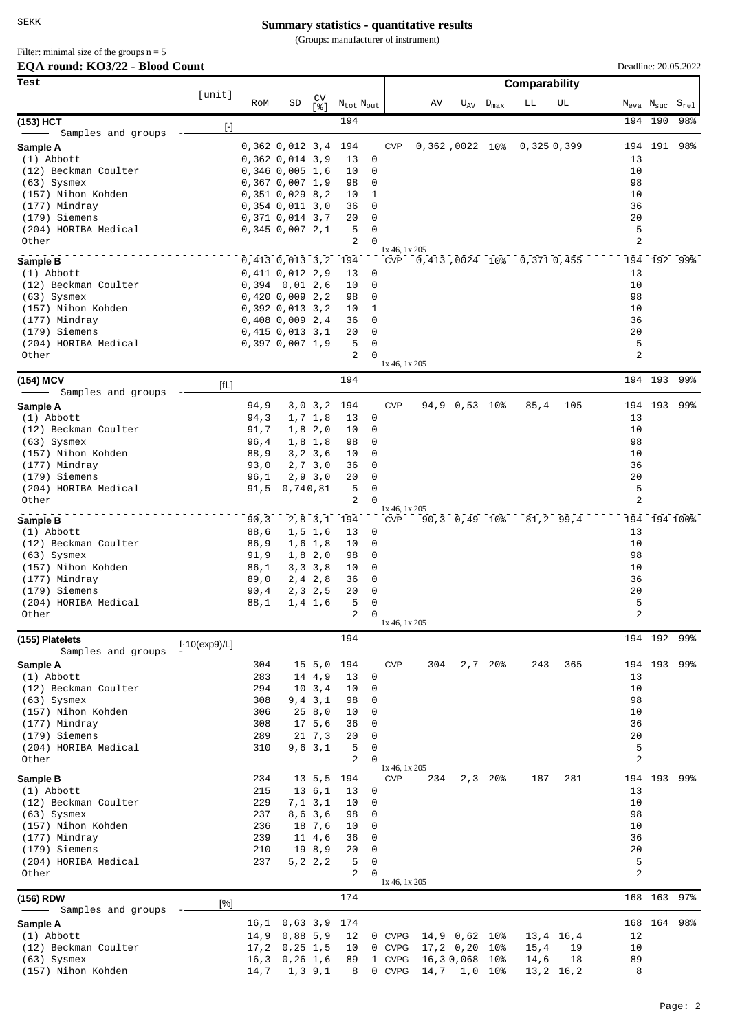(Groups: manufacturer of instrument)

# Filter: minimal size of the groups  $n = 5$

# **EQA round: KO3/22 - Blood Count**

| EQA round: KO3/22 - Blood Count       |                  |               |                                             |                      |                                   |                            |                             |     |               |                    |                                |              | Deadline: 20.05.2022 |         |                                                    |
|---------------------------------------|------------------|---------------|---------------------------------------------|----------------------|-----------------------------------|----------------------------|-----------------------------|-----|---------------|--------------------|--------------------------------|--------------|----------------------|---------|----------------------------------------------------|
| Test                                  |                  |               |                                             |                      |                                   |                            |                             |     |               |                    | Comparability                  |              |                      |         |                                                    |
|                                       | [unit]           | RoM           | SD                                          | CV<br>ខេ !           | $N_{\text{tot}}$ $N_{\text{out}}$ |                            |                             | AV  |               | $U_{AV}$ $D_{max}$ | LL                             | UL           |                      |         | $N_{\text{eva}}$ $N_{\text{suc}}$ $S_{\text{rel}}$ |
| (153) HCT                             | $[\cdot]$        |               |                                             |                      | 194                               |                            |                             |     |               |                    |                                |              |                      | 194 190 | 98%                                                |
| Samples and groups                    |                  |               |                                             |                      |                                   |                            |                             |     |               |                    |                                |              |                      |         |                                                    |
| Sample A<br>$(1)$ Abbott              |                  |               | 0,362 0,012 3,4<br>$0,362$ $0,014$ $3,9$    |                      | 194<br>13                         | 0                          | <b>CVP</b>                  |     |               |                    | 0,362,0022 10% 0,325 0,399     |              | 13                   | 194 191 | 98%                                                |
| (12) Beckman Coulter                  |                  |               | $0,346$ 0,005 1,6                           |                      | 10                                | 0                          |                             |     |               |                    |                                |              | 10                   |         |                                                    |
| $(63)$ Sysmex                         |                  |               | 0,367,0,007,1,9                             |                      | 98                                | 0                          |                             |     |               |                    |                                |              | 98                   |         |                                                    |
| (157) Nihon Kohden                    |                  |               | $0,351$ $0,029$ $8,2$                       |                      | 10                                | 1                          |                             |     |               |                    |                                |              | 10                   |         |                                                    |
| (177) Mindray                         |                  |               | $0,354$ $0,011$ $3,0$                       |                      | 36                                | $\mathbf 0$                |                             |     |               |                    |                                |              | 36                   |         |                                                    |
| (179) Siemens<br>(204) HORIBA Medical |                  |               | 0,371 0,014 3,7                             |                      | 20<br>5                           | 0<br>0                     |                             |     |               |                    |                                |              | 20<br>5              |         |                                                    |
| Other                                 |                  |               | $0,345$ $0,007$ $2,1$                       |                      | 2                                 | $\Omega$                   |                             |     |               |                    |                                |              | 2                    |         |                                                    |
|                                       |                  |               |                                             |                      |                                   |                            | $1x\,46, 1x\,205$           |     |               |                    |                                |              |                      |         |                                                    |
| Sample B<br>$(1)$ Abbott              |                  |               | 0,413 0,013 3,2 194                         |                      |                                   | 0                          |                             |     |               |                    | CVP 0,413,0024 10% 0,371 0,455 |              | 13                   |         | 194 192 99%                                        |
| (12) Beckman Coulter                  |                  |               | $0,411$ $0,012$ $2,9$<br>$0,394$ $0,01$ 2,6 |                      | 13<br>10                          | 0                          |                             |     |               |                    |                                |              | 10                   |         |                                                    |
| $(63)$ Sysmex                         |                  |               | 0,420,0,009,2,2                             |                      | 98                                | 0                          |                             |     |               |                    |                                |              | 98                   |         |                                                    |
| (157) Nihon Kohden                    |                  |               | $0,392$ $0,013$ $3,2$                       |                      | 10                                | 1                          |                             |     |               |                    |                                |              | 10                   |         |                                                    |
| (177) Mindray                         |                  |               | $0,408$ 0,009 2,4                           |                      | 36                                | $\mathbf 0$                |                             |     |               |                    |                                |              | 36                   |         |                                                    |
| (179) Siemens                         |                  |               | 0,415,0,013,3,1                             |                      | 20                                | 0                          |                             |     |               |                    |                                |              | 20                   |         |                                                    |
| (204) HORIBA Medical<br>Other         |                  |               | 0,397,0,007,1,9                             |                      | 5<br>2                            | $\mathsf 0$<br>$\Omega$    |                             |     |               |                    |                                |              | 5<br>$\overline{a}$  |         |                                                    |
|                                       |                  |               |                                             |                      |                                   |                            | 1x 46, 1x 205               |     |               |                    |                                |              |                      |         |                                                    |
| (154) MCV                             | [fL]             |               |                                             |                      | 194                               |                            |                             |     |               |                    |                                |              |                      | 194 193 | 99%                                                |
| Samples and groups                    |                  |               |                                             |                      |                                   |                            |                             |     |               |                    |                                |              |                      |         |                                                    |
| Sample A                              |                  | 94,9          |                                             | 3,0,3,2              | 194                               |                            | <b>CVP</b>                  |     | 94,9 0,53 10% |                    | 85,4                           | 105          |                      | 194 193 | 99%                                                |
| $(1)$ Abbott                          |                  | 94,3          |                                             | 1, 7, 1, 8           | 13                                | 0<br>0                     |                             |     |               |                    |                                |              | 13<br>10             |         |                                                    |
| (12) Beckman Coulter<br>$(63)$ Sysmex |                  | 91,7<br>96,4  |                                             | 1,8,2,0<br>$1,8$ 1,8 | 10<br>98                          | 0                          |                             |     |               |                    |                                |              | 98                   |         |                                                    |
| (157) Nihon Kohden                    |                  | 88,9          |                                             | 3, 2, 3, 6           | 10                                | 0                          |                             |     |               |                    |                                |              | 10                   |         |                                                    |
| (177) Mindray                         |                  | 93,0          |                                             | 2, 7, 3, 0           | 36                                | 0                          |                             |     |               |                    |                                |              | 36                   |         |                                                    |
| (179) Siemens                         |                  | 96,1          |                                             | 2,9,3,0              | 20                                | 0                          |                             |     |               |                    |                                |              | 20                   |         |                                                    |
| (204) HORIBA Medical                  |                  | 91,5          | 0,740,81                                    |                      | 5                                 | $\mathbf 0$                |                             |     |               |                    |                                |              | 5                    |         |                                                    |
| Other                                 |                  |               |                                             |                      | 2                                 | $\Omega$                   | 1x 46, 1x 205               |     |               |                    |                                |              | 2                    |         |                                                    |
| Sample B                              |                  | 90, 3         |                                             | $2,8$ 3, 1           | 194                               |                            | CVP                         |     | 90,3 0,49 10% |                    |                                | $81, 2$ 99,4 |                      |         | 194 194 100%                                       |
| $(1)$ Abbott                          |                  | 88,6          |                                             | $1, 5$ 1,6           | 13                                | 0                          |                             |     |               |                    |                                |              | 13                   |         |                                                    |
| (12) Beckman Coulter<br>$(63)$ Sysmex |                  | 86,9<br>91, 9 |                                             | $1,6$ 1,8<br>1,8,2,0 | 10<br>98                          | $\mathbf 0$<br>0           |                             |     |               |                    |                                |              | 10<br>98             |         |                                                    |
| (157) Nihon Kohden                    |                  | 86,1          |                                             | 3, 3, 3, 8           | 10                                | 0                          |                             |     |               |                    |                                |              | 10                   |         |                                                    |
| (177) Mindray                         |                  | 89,0          |                                             | $2, 4$ 2,8           | 36                                | 0                          |                             |     |               |                    |                                |              | 36                   |         |                                                    |
| (179) Siemens                         |                  | 90, 4         |                                             | 2, 3, 2, 5           | 20                                | 0                          |                             |     |               |                    |                                |              | 20                   |         |                                                    |
| (204) HORIBA Medical                  |                  | 88,1          |                                             | 1, 4, 1, 6           | 5<br>2                            | $\Omega$<br>$\overline{0}$ |                             |     |               |                    |                                |              | 5<br>2               |         |                                                    |
| Other                                 |                  |               |                                             |                      |                                   |                            | 1x 46, 1x 205               |     |               |                    |                                |              |                      |         |                                                    |
| (155) Platelets                       | $1.10$ (exp9)/L] |               |                                             |                      | 194                               |                            |                             |     |               |                    |                                |              |                      | 194 192 | 99%                                                |
| Samples and groups                    |                  |               |                                             |                      |                                   |                            | <b>CVP</b>                  |     |               |                    |                                |              |                      |         | 99%                                                |
| Sample A<br>$(1)$ Abbott              |                  | 304<br>283    |                                             | 15, 5, 0<br>14 4,9   | 194<br>13                         | 0                          |                             | 304 |               | $2,7$ 20%          | 243                            | 365          | 13                   | 194 193 |                                                    |
| (12) Beckman Coulter                  |                  | 294           |                                             | 10, 3, 4             | 10                                | 0                          |                             |     |               |                    |                                |              | 10                   |         |                                                    |
| $(63)$ Sysmex                         |                  | 308           |                                             | $9, 4$ $3, 1$        | 98                                | 0                          |                             |     |               |                    |                                |              | 98                   |         |                                                    |
| (157) Nihon Kohden                    |                  | 306           |                                             | 258,0                | 10                                | 0                          |                             |     |               |                    |                                |              | 10                   |         |                                                    |
| (177) Mindray<br>(179) Siemens        |                  | 308           |                                             | 17, 5, 6             | 36                                | 0                          |                             |     |               |                    |                                |              | 36                   |         |                                                    |
| (204) HORIBA Medical                  |                  | 289<br>310    |                                             | 21 7,3<br>9,6,3,1    | 20<br>5                           | 0<br>0                     |                             |     |               |                    |                                |              | 20<br>5              |         |                                                    |
| Other                                 |                  |               |                                             |                      | 2                                 | $\Omega$                   |                             |     |               |                    |                                |              | 2                    |         |                                                    |
|                                       |                  | 234           |                                             |                      | 13 5,5 194                        |                            | 1x 46, 1x 205<br><b>CVP</b> |     | 234 2,3 20%   |                    | 187                            | 281          |                      |         | 194 193 99%                                        |
| Sample B<br>$(1)$ Abbott              |                  | 215           |                                             | 13, 6, 1             | 13                                | 0                          |                             |     |               |                    |                                |              | 13                   |         |                                                    |
| (12) Beckman Coulter                  |                  | 229           |                                             | $7, 1$ 3, 1          | 10                                | 0                          |                             |     |               |                    |                                |              | 10                   |         |                                                    |
| $(63)$ Sysmex                         |                  | 237           |                                             | 8,6,3,6              | 98                                | 0                          |                             |     |               |                    |                                |              | 98                   |         |                                                    |
| (157) Nihon Kohden                    |                  | 236           |                                             | 18 7,6               | 10                                | 0                          |                             |     |               |                    |                                |              | 10                   |         |                                                    |
| (177) Mindray                         |                  | 239           |                                             | $11 \t4.6$           | 36                                | 0                          |                             |     |               |                    |                                |              | 36                   |         |                                                    |
| (179) Siemens<br>(204) HORIBA Medical |                  | 210<br>237    |                                             | 19 8,9<br>5, 2, 2, 2 | 20<br>5                           | 0<br>0                     |                             |     |               |                    |                                |              | 20<br>5              |         |                                                    |
| Other                                 |                  |               |                                             |                      | 2                                 | $\Omega$                   |                             |     |               |                    |                                |              | 2                    |         |                                                    |
|                                       |                  |               |                                             |                      |                                   |                            | $1x$ 46, $1x$ 205           |     |               |                    |                                |              |                      |         |                                                    |
| (156) RDW                             | [%]              |               |                                             |                      | 174                               |                            |                             |     |               |                    |                                |              |                      | 168 163 | 97%                                                |
| Samples and groups                    |                  |               |                                             |                      |                                   |                            |                             |     |               |                    |                                |              |                      | 168 164 | 98%                                                |
| Sample A<br>$(1)$ Abbott              |                  | 16,1<br>14,9  | 0,63,3,9<br>0,88,5,9                        |                      | 174<br>12                         |                            | 0 CVPG                      |     | 14,9 0,62 10% |                    |                                | 13,4 16,4    | 12                   |         |                                                    |
| (12) Beckman Coulter                  |                  | 17,2          | $0, 25$ 1,5                                 |                      | 10                                |                            | 0 CVPG                      |     | $17, 2$ 0,20  | $10\%$             | 15,4                           | 19           | 10                   |         |                                                    |
| $(63)$ Sysmex                         |                  | 16, 3         | 0, 26, 1, 6                                 |                      | 89                                |                            | 1 CVPG                      |     | 16,30,068     | 10 <sub>8</sub>    | 14,6                           | 18           | 89                   |         |                                                    |
| (157) Nihon Kohden                    |                  | 14,7          |                                             | 1, 3, 9, 1           | 8                                 |                            | 0 CVPG                      |     | 14,7 1,0 10%  |                    |                                | 13,2 16,2    | 8                    |         |                                                    |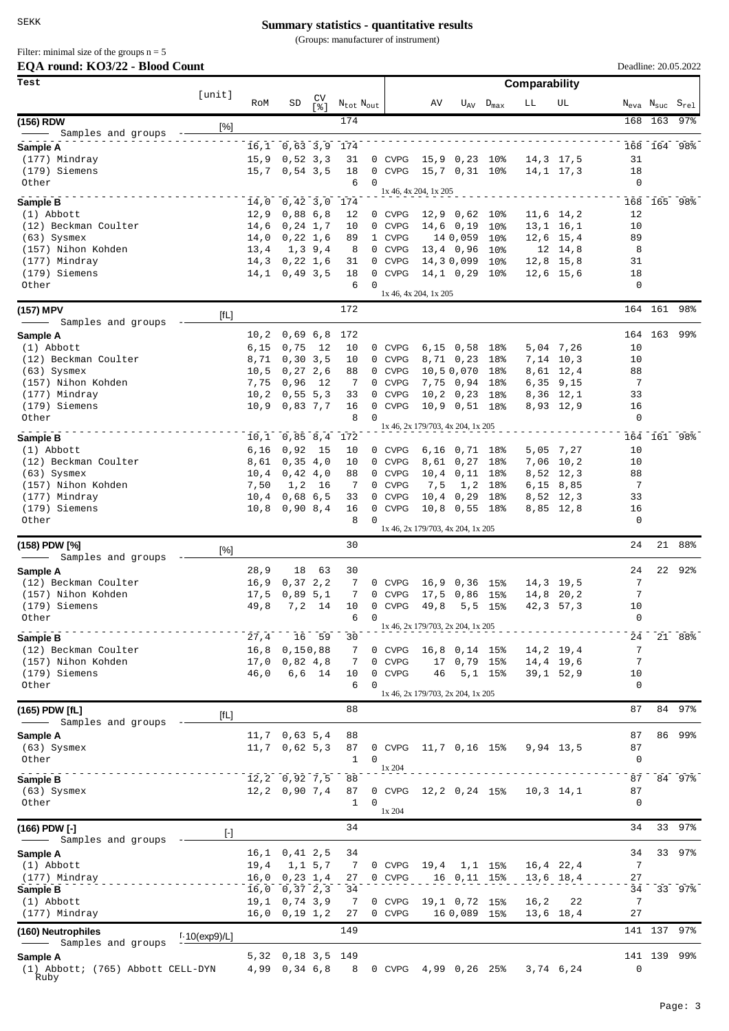(Groups: manufacturer of instrument)

**EQA round: KO3/22 - Blood Count** Filter: minimal size of the groups  $n = 5$ 

| EQA round: KO3/22 - Blood Count           |                     |               |                                      |            |                                   |                                         |                                   |                              |                            |               |                          |             |         | Deadline: 20.05.2022                               |
|-------------------------------------------|---------------------|---------------|--------------------------------------|------------|-----------------------------------|-----------------------------------------|-----------------------------------|------------------------------|----------------------------|---------------|--------------------------|-------------|---------|----------------------------------------------------|
| Test                                      | [unit]              |               |                                      |            |                                   |                                         |                                   |                              |                            | Comparability |                          |             |         |                                                    |
|                                           |                     | RoM           | SD                                   | CV<br>[응]  | $N_{\text{tot}}$ $N_{\text{out}}$ |                                         | AV                                |                              | $U_{\rm AV}$ $D_{\rm max}$ | LL            | UL                       |             |         | $N_{\text{eva}}$ $N_{\text{suc}}$ $S_{\text{rel}}$ |
| (156) RDW                                 | $[\%]$              |               |                                      |            | 174                               |                                         |                                   |                              |                            |               |                          |             | 168 163 | $97$ %                                             |
| - Samples and groups<br>Sample A          |                     |               | 16,1 0,63 3,9 174                    |            |                                   |                                         |                                   |                              |                            |               |                          |             |         | 168 164 98%                                        |
| (177) Mindray                             |                     |               | $15,9$ 0,52 3,3                      |            | 31                                | 0 CVPG                                  |                                   | 15,9 0,23 10%                |                            |               | 14,3 17,5                | 31          |         |                                                    |
| (179) Siemens                             |                     |               | $15,7$ 0,54 3,5                      |            | 18                                | 0 CVPG                                  |                                   | 15,7 0,31 10%                |                            |               | 14,1 17,3                | 18          |         |                                                    |
| Other                                     |                     |               |                                      |            | 6<br>$\Omega$                     |                                         | 1x 46, 4x 204, 1x 205             |                              |                            |               |                          | $\mathbf 0$ |         |                                                    |
| Sample B                                  |                     |               | 14,0 0,42 3,0 174                    |            |                                   |                                         |                                   |                              |                            |               |                          |             |         | 168 165 98%                                        |
| $(1)$ Abbott<br>(12) Beckman Coulter      |                     | 12,9<br>14,6  | 0,88,6,8<br>$0, 24$ 1,7              |            | 12<br>10                          | 0 CVPG<br><b>CVPG</b><br>$\overline{0}$ |                                   | 12,9 0,62 10%<br>$14,6$ 0,19 | 10%                        |               | 11,6 14,2<br>13,1 16,1   | 12<br>10    |         |                                                    |
| $(63)$ Sysmex                             |                     | 14,0          | 0,22,1,6                             |            | 89                                | 1 CVPG                                  |                                   | 14 0,059                     | 10 <sup>°</sup>            |               | 12,6 15,4                | 89          |         |                                                    |
| (157) Nihon Kohden                        |                     | 13,4          |                                      | 1, 3, 9, 4 | 8                                 | 0 CVPG                                  |                                   | $13, 4$ 0,96                 | $10\%$                     |               | 12 14,8                  | 8           |         |                                                    |
| (177) Mindray<br>(179) Siemens            |                     | 14,3          | 0,22,1,6<br>$14, 1$ 0, 49 3, 5       |            | 31<br>18                          | 0 CVPG<br>0 CVPG                        |                                   | 14,30,099<br>14,1 0,29 10%   | 10 <sup>°</sup>            |               | 12,8 15,8<br>12,6 15,6   | 31<br>18    |         |                                                    |
| Other                                     |                     |               |                                      |            | 6<br>$\Omega$                     |                                         |                                   |                              |                            |               |                          | $\mathbf 0$ |         |                                                    |
|                                           |                     |               |                                      |            |                                   |                                         | 1x 46, 4x 204, 1x 205             |                              |                            |               |                          |             |         |                                                    |
| (157) MPV<br>Samples and groups           | [fL]                |               |                                      |            | 172                               |                                         |                                   |                              |                            |               |                          |             | 164 161 | 98%                                                |
| Sample A                                  |                     | 10, 2         | 0,69,6,8                             |            | 172                               |                                         |                                   |                              |                            |               |                          |             | 164 163 | 99%                                                |
| $(1)$ Abbott                              |                     | 6,15          | 0,75                                 | 12         | 10                                | 0 CVPG                                  |                                   | $6,15$ 0,58 18%              |                            |               | 5,04 7,26                | 10          |         |                                                    |
| (12) Beckman Coulter                      |                     | 8,71          | 0, 30, 3, 5                          |            | 10                                | 0 CVPG                                  |                                   | 8,71 0,23                    | 18%                        |               | 7,14 10,3                | 10          |         |                                                    |
| $(63)$ Sysmex<br>(157) Nihon Kohden       |                     | 10, 5<br>7,75 | 0, 27, 2, 6<br>0,96                  | - 12       | 88<br>7                           | 0 CVPG<br>0 CVPG                        |                                   | 10,50,070<br>7,75 0,94 18%   | 18%                        |               | 8,61 12,4<br>$6,35$ 9,15 | 88<br>7     |         |                                                    |
| (177) Mindray                             |                     | 10, 2         | 0,55,5,3                             |            | 33                                | 0 CVPG                                  |                                   | $10, 2 \quad 0, 23$          | 18%                        |               | 8,36 12,1                | 33          |         |                                                    |
| (179) Siemens                             |                     |               | $10,9$ 0,83 7,7                      |            | 16                                | 0 CVPG                                  |                                   | 10,9 0,51 18%                |                            |               | 8,93 12,9                | 16          |         |                                                    |
| Other                                     |                     |               |                                      |            | $\Omega$<br>8                     |                                         | 1x 46, 2x 179/703, 4x 204, 1x 205 |                              |                            |               |                          | 0           |         |                                                    |
| Sample B                                  |                     |               | $10, 1$ 0,85 8,4 172                 |            |                                   |                                         |                                   |                              |                            |               |                          |             |         | 164 161 98%                                        |
| $(1)$ Abbott                              |                     | 6,16          | 0,92                                 | 15         | 10                                | 0 CVPG                                  |                                   | 6,16 0,71 18%                |                            |               | 5,05 7,27                | 10          |         |                                                    |
| (12) Beckman Coulter<br>$(63)$ Sysmex     |                     | 8,61<br>10,4  | 0,35,4,0<br>0,42,4,0                 |            | 10<br>88                          | 0 CVPG<br>0 CVPG                        |                                   | 8,61 0,27<br>10,4 0,11 18%   | 18%                        |               | 7,06 10,2<br>8,52 12,3   | 10<br>88    |         |                                                    |
| (157) Nihon Kohden                        |                     | 7,50          | 1,2                                  | -16        | 7                                 | 0 CVPG                                  | 7,5                               | 1,2                          | 18%                        |               | 6,15 8,85                | 7           |         |                                                    |
| (177) Mindray                             |                     | 10,4          | 0,68,6,5                             |            | 33                                | 0 CVPG                                  |                                   | $10, 4$ 0,29                 | 18%                        |               | 8,52 12,3                | 33          |         |                                                    |
| (179) Siemens<br>Other                    |                     |               | $10,8$ 0,90 8,4                      |            | 16<br>8<br>$\Omega$               | 0 CVPG                                  |                                   | 10,8 0,55 18%                |                            |               | 8,85 12,8                | 16<br>0     |         |                                                    |
|                                           |                     |               |                                      |            |                                   |                                         | 1x 46, 2x 179/703, 4x 204, 1x 205 |                              |                            |               |                          |             |         |                                                    |
| (158) PDW [%]<br>Samples and groups       | [%]                 |               |                                      |            | 30                                |                                         |                                   |                              |                            |               |                          | 24          | 21      | 88%                                                |
| Sample A                                  |                     | 28,9          | 18                                   | 63         | 30                                |                                         |                                   |                              |                            |               |                          | 24          | 22      | $92\%$                                             |
| (12) Beckman Coulter                      |                     | 16, 9         | 0, 37, 2, 2                          |            | 7                                 | 0 CVPG                                  | 16,9                              | 0,36 15%                     |                            |               | 14,3 19,5                | 7           |         |                                                    |
| (157) Nihon Kohden<br>(179) Siemens       |                     | 17,5<br>49,8  | 0,89,5,1                             | $7.2$ 14   | 7<br>10 <sup>1</sup>              | 0 CVPG<br>0 CVPG                        | 49,8                              | 17,5 0,86 15%                | $5, 5$ 15%                 | 42,3          | 14,8 20,2<br>57, 3       | 7<br>10     |         |                                                    |
| Other                                     |                     |               |                                      |            | 6<br>0                            |                                         |                                   |                              |                            |               |                          | 0           |         |                                                    |
| Sample B                                  |                     | 27,4          |                                      | 16 59      | 30                                |                                         | 1x 46, 2x 179/703, 2x 204, 1x 205 |                              |                            |               |                          | 24          |         | 21 88%                                             |
| (12) Beckman Coulter                      |                     | 16,8          | 0,150,88                             |            | 7                                 | 0 CVPG                                  |                                   | 16,8 0,14 15%                |                            |               | 14,2 19,4                | 7           |         |                                                    |
| (157) Nihon Kohden                        |                     | 17,0          | 0,82,4,8                             |            | 7                                 | 0 CVPG                                  |                                   | 17 0,79                      | 15%                        |               | 14,4 19,6                | 7           |         |                                                    |
| (179) Siemens<br>Other                    |                     | 46,0          |                                      | 6,6 14     | 10<br>6<br>0                      | <b>CVPG</b><br>$\mathbf{0}$             | 46                                |                              | $5,1$ 15%                  |               | $39,1$ $52,9$            | 10<br>0     |         |                                                    |
|                                           |                     |               |                                      |            |                                   |                                         | 1x 46, 2x 179/703, 2x 204, 1x 205 |                              |                            |               |                          |             |         |                                                    |
| (165) PDW [fL]<br>Samples and groups      | [fL]                |               |                                      |            | 88                                |                                         |                                   |                              |                            |               |                          | 87          |         | 84 97%                                             |
| Sample A                                  |                     |               | $11,7$ 0,63 5,4                      |            | 88                                |                                         |                                   |                              |                            |               |                          | 87          |         | 86 99%                                             |
| $(63)$ Sysmex<br>Other                    |                     |               | $11,7$ 0,62 5,3                      |            | 87<br>1<br>0                      | 0 CVPG                                  |                                   | 11,7 0,16 15%                |                            |               | 9,94 13,5                | 87<br>0     |         |                                                    |
|                                           |                     |               |                                      |            |                                   | 1x 204                                  |                                   |                              |                            |               |                          | 87          |         | 84 97%                                             |
| Sample B<br>$(63)$ Sysmex                 |                     |               | $12, 2$ 0,92 7,5<br>$12, 2$ 0,90 7,4 |            | 88<br>87                          | 0 CVPG                                  | 12,2 0,24 15%                     |                              |                            |               | $10, 3$ $14, 1$          | 87          |         |                                                    |
| Other                                     |                     |               |                                      |            | $\mathbf{1}$<br>0                 | 1x 204                                  |                                   |                              |                            |               |                          | 0           |         |                                                    |
| (166) PDW [-]                             |                     |               |                                      |            | 34                                |                                         |                                   |                              |                            |               |                          | 34          | 33      | 97%                                                |
| Samples and groups                        | $\lbrack - \rbrack$ |               |                                      |            |                                   |                                         |                                   |                              |                            |               |                          |             |         |                                                    |
| Sample A                                  |                     | 16,1          | 0, 41, 2, 5                          |            | 34                                |                                         |                                   |                              |                            |               |                          | 34          |         | 33 97%                                             |
| (1) Abbott<br>(177) Mindray               |                     | 19,4          | $16,0$ 0, 23 1, 4                    | 1, 1, 5, 7 | 7<br>27                           | 0 CVPG<br>0 CVPG                        | 19,4                              | 16 0, 11 15%                 | $1,1$ 15%                  |               | 16,4 22,4<br>13,6 18,4   | 7<br>27     |         |                                                    |
| Sample B                                  |                     | 16,0          | 0,37,2,3                             |            | 34                                |                                         |                                   |                              |                            |               |                          | 34          |         | 33 97%                                             |
| $(1)$ Abbott                              |                     |               | $19,1$ 0, 74 3, 9                    |            | 7                                 | 0 CVPG                                  |                                   | 19,1 0,72                    | 15%                        | 16,2          | 22                       | 7           |         |                                                    |
| (177) Mindray                             |                     |               | $16,0$ 0, 19 1, 2                    |            | 27                                | 0 CVPG                                  |                                   | 16 0,089 15%                 |                            |               | 13,6 18,4                | 27          |         |                                                    |
| (160) Neutrophiles<br>Samples and groups  | $1.10$ (exp9)/L]    |               |                                      |            | 149                               |                                         |                                   |                              |                            |               |                          |             |         | 141 137 97%                                        |
| Sample A                                  |                     |               | 5,32 0,18 3,5 149                    |            |                                   |                                         |                                   |                              |                            |               |                          |             |         | 141 139 99%                                        |
| (1) Abbott; (765) Abbott CELL-DYN<br>Ruby |                     |               | 4,99 0,34 6,8                        |            | 8                                 | 0 CVPG                                  |                                   | 4,99 0,26 25%                |                            |               | 3,74 6,24                | $\mathbf 0$ |         |                                                    |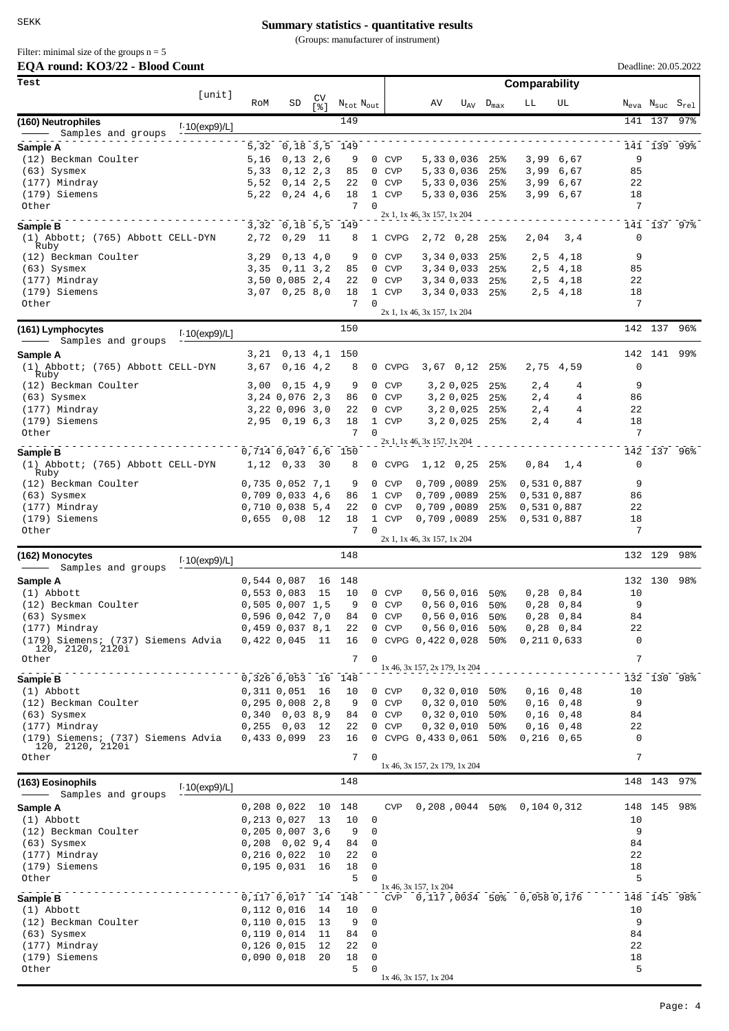(Groups: manufacturer of instrument)

Filter: minimal size of the groups  $n = 5$ 

| EQA round: KO3/22 - Blood Count                        |                  |              |                                            |            |                                   |                |                               |                                  |                    |                                |                            | Deadline: 20.05.2022 |         |                                                    |
|--------------------------------------------------------|------------------|--------------|--------------------------------------------|------------|-----------------------------------|----------------|-------------------------------|----------------------------------|--------------------|--------------------------------|----------------------------|----------------------|---------|----------------------------------------------------|
| Test                                                   |                  |              |                                            |            |                                   |                |                               |                                  |                    |                                |                            |                      |         |                                                    |
|                                                        | [unit]           | RoM          | SD                                         | CV<br>5.81 | $N_{\text{tot}}$ $N_{\text{out}}$ |                | AV                            |                                  | $U_{AV}$ $D_{max}$ | LL                             | UL                         |                      |         | $N_{\text{eva}}$ $N_{\text{suc}}$ $S_{\text{rel}}$ |
| (160) Neutrophiles                                     | $1.10$ (exp9)/L] |              |                                            |            | 149                               |                |                               |                                  |                    |                                |                            |                      | 141 137 | 97%                                                |
| Samples and groups                                     |                  |              |                                            |            |                                   |                |                               |                                  |                    |                                |                            |                      |         |                                                    |
| Sample A<br>(12) Beckman Coulter                       |                  | 5,32<br>5,16 | 0,18 3,5 149<br>0,13,2,6                   |            | 9                                 | 0 CVP          |                               | 5,330,036 25%                    |                    |                                | 3,99 6,67                  | 9                    |         | 141 139 99%                                        |
| $(63)$ Sysmex                                          |                  | 5,33         | 0, 12, 2, 3                                |            | 85                                | 0 CVP          |                               | 5,330,036                        | 25%                |                                | 3,99 6,67                  | 85                   |         |                                                    |
| (177) Mindray                                          |                  | 5,52         | 0, 14, 2, 5                                |            | 22                                | 0 CVP          |                               | 5,330,036                        | 25%                |                                | 3,99 6,67                  | 22                   |         |                                                    |
| (179) Siemens                                          |                  | 5,22         | 0, 24, 4, 6                                |            | 18                                | 1 CVP          |                               | 5,330,036 25%                    |                    |                                | 3,99 6,67                  | 18                   |         |                                                    |
| Other                                                  |                  |              |                                            |            | 7<br>$\Omega$                     |                | 2x 1, 1x 46, 3x 157, 1x 204   |                                  |                    |                                |                            | 7                    |         |                                                    |
| Sample B                                               |                  |              | 3,32 0,18 5,5 149                          |            |                                   |                |                               |                                  |                    |                                |                            |                      |         | 141 137 97%                                        |
| (1) Abbott; (765) Abbott CELL-DYN<br>Ruby              |                  | 2,72         | 0, 29                                      | 11         | 8                                 | 1 CVPG         |                               | 2,72 0,28                        | 25%                | 2,04                           | 3,4                        | 0                    |         |                                                    |
| (12) Beckman Coulter                                   |                  | 3,29         | 0,13,4,0                                   |            | 9                                 | 0 CVP          |                               | 3,34 0,033                       | 25%                | 2,5                            | 4,18                       | 9                    |         |                                                    |
| $(63)$ Sysmex<br>(177) Mindray                         |                  |              | $3,35$ 0, 11 3, 2<br>3,50 0,085 2,4        |            | 85<br>22                          | 0 CVP<br>0 CVP |                               | 3,340,033<br>3,34 0,033 25%      | 25%                |                                | 2,5 4,18<br>$2,5$ 4, 18    | 85<br>22             |         |                                                    |
| (179) Siemens                                          |                  |              | $3,07$ 0,25 8,0                            |            | 18                                | 1 CVP          |                               | 3,34 0,033 25%                   |                    |                                | $2,5$ 4, 18                | 18                   |         |                                                    |
| Other                                                  |                  |              |                                            |            | 7<br>$\Omega$                     |                | 2x 1, 1x 46, 3x 157, 1x 204   |                                  |                    |                                |                            | 7                    |         |                                                    |
|                                                        |                  |              |                                            |            | 150                               |                |                               |                                  |                    |                                |                            |                      | 142 137 | 96%                                                |
| (161) Lymphocytes<br>Samples and groups                | $1.10$ (exp9)/L] |              |                                            |            |                                   |                |                               |                                  |                    |                                |                            |                      |         |                                                    |
| Sample A                                               |                  |              | 3,21 0,13 4,1 150                          |            |                                   |                |                               |                                  |                    |                                |                            |                      | 142 141 | 99%                                                |
| (1) Abbott; (765) Abbott CELL-DYN<br>Ruby              |                  | 3,67         | 0, 16, 4, 2                                |            | 8                                 | 0 CVPG         |                               | 3,67 0,12 25%                    |                    |                                | 2,75 4,59                  | $\mathbf 0$          |         |                                                    |
| (12) Beckman Coulter                                   |                  |              | $3,00$ 0,15 4,9                            |            | 9                                 | 0 CVP          |                               | 3,20,025                         | 25%                | 2,4                            | 4                          | 9                    |         |                                                    |
| $(63)$ Sysmex                                          |                  |              | 3,24 0,076 2,3                             |            | 86                                | 0 CVP          |                               | 3, 20, 025                       | 25%                | 2,4                            | 4                          | 86                   |         |                                                    |
| (177) Mindray<br>(179) Siemens                         |                  |              | 3,22 0,096 3,0<br>$2,95$ 0,19 6,3          |            | 22<br>18                          | 0 CVP<br>1 CVP |                               | 3, 20, 025<br>$3, 2, 0, 025$ 25% | 25%                | 2,4<br>2,4                     | 4<br>4                     | 22<br>18             |         |                                                    |
| Other                                                  |                  |              |                                            |            | 7<br>$\Omega$                     |                |                               |                                  |                    |                                |                            | 7                    |         |                                                    |
|                                                        |                  |              | 0,714,0,047,6,6                            |            | 150                               |                | 2x 1, 1x 46, 3x 157, 1x 204   |                                  |                    |                                |                            |                      |         | 142 137 96%                                        |
| Sample B<br>(1) Abbott; (765) Abbott CELL-DYN          |                  |              | $1,12$ 0,33                                | 30         | 8                                 | 0 CVPG         | 1,12 0,25                     |                                  | 25%                | 0,84                           | 1,4                        | $\mathbf 0$          |         |                                                    |
| Ruby                                                   |                  |              |                                            |            | 9                                 | 0 CVP          |                               |                                  |                    |                                |                            | 9                    |         |                                                    |
| (12) Beckman Coulter<br>(63) Sysmex                    |                  |              | $0,735$ $0,052$ $7,1$<br>$0,709$ 0,033 4,6 |            | 86                                | 1 CVP          | 0,709,0089<br>0,709,0089      |                                  | 25%<br>25%         |                                | 0,531 0,887<br>0,5310,887  | 86                   |         |                                                    |
| (177) Mindray                                          |                  |              | 0,710,0,038,5,4                            |            | 22                                | 0 CVP          | 0,709,0089                    |                                  | 25%                | 0,531 0,887                    |                            | 22                   |         |                                                    |
| (179) Siemens                                          |                  |              | $0,655$ 0,08                               | 12         | 18                                | 1 CVP          | 0,709,0089                    |                                  | 25%                |                                | 0,531 0,887                | 18                   |         |                                                    |
| Other                                                  |                  |              |                                            |            | 7<br>$\Omega$                     |                | 2x 1, 1x 46, 3x 157, 1x 204   |                                  |                    |                                |                            | 7                    |         |                                                    |
| (162) Monocytes                                        | $1.10$ (exp9)/L] |              |                                            |            | 148                               |                |                               |                                  |                    |                                |                            |                      | 132 129 | 98%                                                |
| Samples and groups                                     |                  |              | 0,544 0,087                                | 16         | 148                               |                |                               |                                  |                    |                                |                            |                      | 132 130 | 98%                                                |
| Sample A<br>(1) Abbott                                 |                  |              | $0,553$ 0,083                              | 15         | 10                                | 0 CVP          |                               | 0,560,016                        | 50%                |                                | $0,28$ 0,84                | 10                   |         |                                                    |
| (12) Beckman Coulter                                   |                  |              | $0,505$ 0,007 1,5                          |            | 9                                 | 0 CVP          |                               | 0,560,016                        | 50%                |                                | $0, 28$ 0,84               | 9                    |         |                                                    |
| $(63)$ Sysmex                                          |                  |              | $0,596$ $0,042$ 7,0                        |            | 84                                | 0 CVP          |                               | 0,560,01650                      |                    |                                | $0,28$ 0,84                | 84                   |         |                                                    |
| (177) Mindray<br>(179) Siemens; (737) Siemens Advia    |                  |              | $0,459$ $0,037$ $8,1$<br>$0,422,0,045$ 11  |            | 22<br>16                          | 0 CVP          | 0 CVPG 0,422 0,028 50%        | 0,560,016                        | 50%                |                                | $0,28$ 0,84<br>0,2110,633  | 22<br>0              |         |                                                    |
| 120, 2120, 2120i                                       |                  |              |                                            |            |                                   |                |                               |                                  |                    |                                |                            |                      |         |                                                    |
| Other                                                  |                  |              |                                            |            | 7<br>$\Omega$                     |                | 1x 46, 3x 157, 2x 179, 1x 204 |                                  |                    |                                |                            | 7                    |         |                                                    |
| Sample B                                               |                  |              | 0,326 0,053 16                             |            | 148                               |                |                               |                                  |                    |                                |                            |                      |         | 132 130 98%                                        |
| $(1)$ Abbott<br>(12) Beckman Coulter                   |                  |              | $0,311$ $0,051$<br>0,295,0,008,2,8         | 16         | 10<br>9                           | 0 CVP<br>0 CVP |                               | $0,320,01050$ \$<br>0,320,010    | 50%                |                                | $0,16$ 0,48<br>$0,16$ 0,48 | 10<br>9              |         |                                                    |
| $(63)$ Sysmex                                          |                  |              | $0,340$ $0,03$ 8,9                         |            | 84                                | 0 CVP          |                               | 0,320,010                        | 50%                |                                | $0,16$ 0,48                | 84                   |         |                                                    |
| (177) Mindray                                          |                  |              | $0,255$ 0,03                               | 12         | 22                                | 0 CVP          |                               | 0,320,010                        | 50%                |                                | $0,16$ 0,48                | 22                   |         |                                                    |
| (179) Siemens; (737) Siemens Advia<br>120, 2120, 2120i |                  |              | 0,433,0,099                                | 23         | 16                                |                | 0 CVPG 0,433 0,061 50%        |                                  |                    | $0,216$ 0,65                   |                            | 0                    |         |                                                    |
| Other                                                  |                  |              |                                            |            | 7<br>0                            |                | 1x 46, 3x 157, 2x 179, 1x 204 |                                  |                    |                                |                            | 7                    |         |                                                    |
| (163) Eosinophils                                      |                  |              |                                            |            | 148                               |                |                               |                                  |                    |                                |                            |                      |         | 148 143 97%                                        |
| Samples and groups                                     | $1.10$ (exp9)/L] |              |                                            |            |                                   |                |                               |                                  |                    |                                |                            |                      |         |                                                    |
| Sample A                                               |                  |              | $0,208$ 0,022                              |            | 10 148                            | <b>CVP</b>     |                               |                                  |                    | $0,208,0044,50$ % $0,1040,312$ |                            |                      | 148 145 | 98%                                                |
| $(1)$ Abbott<br>(12) Beckman Coulter                   |                  |              | 0,213 0,027<br>0,205,0,007,3,6             | 13         | 10<br>0<br>9<br>0                 |                |                               |                                  |                    |                                |                            | 10<br>9              |         |                                                    |
| $(63)$ Sysmex                                          |                  |              | $0,208$ 0,02 9,4                           |            | 84<br>0                           |                |                               |                                  |                    |                                |                            | 84                   |         |                                                    |
| (177) Mindray                                          |                  |              | 0,216,0,022                                | 10         | 22<br>0                           |                |                               |                                  |                    |                                |                            | 22                   |         |                                                    |
| (179) Siemens                                          |                  |              | 0,195,0,031                                | 16         | 0<br>18                           |                |                               |                                  |                    |                                |                            | 18                   |         |                                                    |
| Other                                                  |                  |              |                                            |            | 5<br>$\Omega$                     |                | 1x 46, 3x 157, 1x 204         |                                  |                    |                                |                            | 5                    |         |                                                    |
| Sample B                                               |                  |              | 0,117 0,017 14 148                         |            |                                   |                |                               |                                  |                    | CVP 0,117,0034 50% 0,058 0,176 |                            |                      |         | 148 145 98%                                        |
| $(1)$ Abbott                                           |                  |              | 0,112 0,016                                | 14         | 10<br>0                           |                |                               |                                  |                    |                                |                            | 10<br>9              |         |                                                    |
| (12) Beckman Coulter<br>$(63)$ Sysmex                  |                  |              | 0,110,0,015<br>0,119,0,014                 | 13<br>11   | 9<br>0<br>84<br>0                 |                |                               |                                  |                    |                                |                            | 84                   |         |                                                    |
| (177) Mindray                                          |                  |              | $0,126$ 0,015                              | 12         | 22<br>0                           |                |                               |                                  |                    |                                |                            | 22                   |         |                                                    |
| (179) Siemens                                          |                  |              | 0,090,0,018                                | 20         | 18<br>0                           |                |                               |                                  |                    |                                |                            | 18                   |         |                                                    |
| Other                                                  |                  |              |                                            |            | 5<br>0                            |                | 1x 46, 3x 157, 1x 204         |                                  |                    |                                |                            | 5                    |         |                                                    |